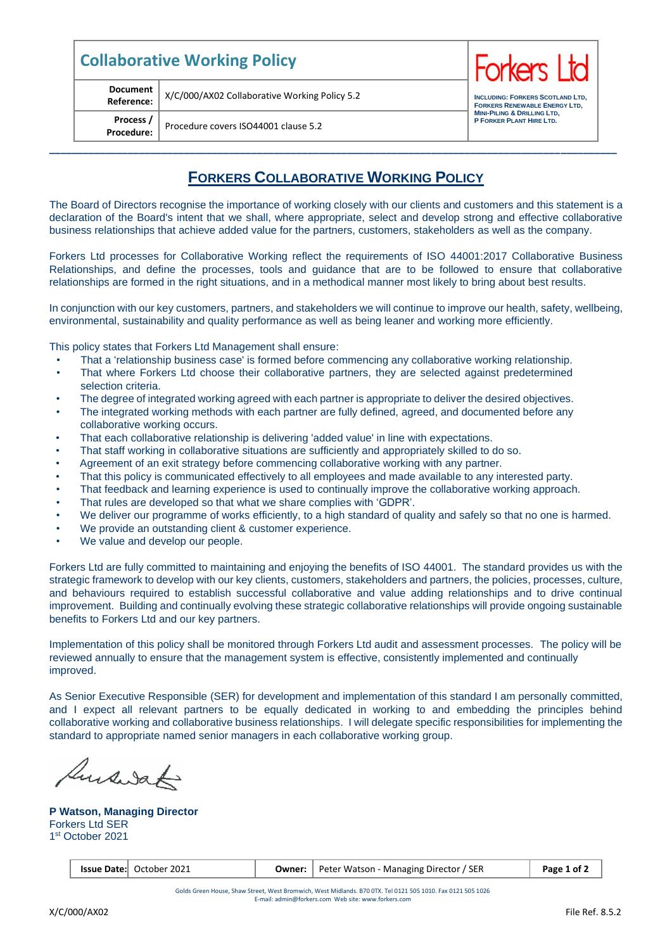| <b>Collaborative Working Policy</b> |                                               |                                         |
|-------------------------------------|-----------------------------------------------|-----------------------------------------|
| <b>Document</b><br>Reference:       | X/C/000/AX02 Collaborative Working Policy 5.2 | <b>INCLUDING:</b><br><b>FORKERS RI</b>  |
| Process /<br>Procedure:             | Procedure covers ISO44001 clause 5.2          | <b>MINI-PILING</b><br><b>P FORKER P</b> |



**INCLUDING: FORKERS SCOTLAND LTD, FORKERS RENEWABLE ENERGY LTD, MINI-PILING & DRILLING LTD, P FORKER PLANT HIRE LTD.**

## **FORKERS COLLABORATIVE WORKING POLICY**

**\_\_\_\_\_\_\_\_\_\_\_\_\_\_\_\_\_\_\_\_\_\_\_\_\_\_\_\_\_\_\_\_\_\_\_\_\_\_\_\_\_\_\_\_\_\_\_\_\_\_\_\_\_\_\_\_\_\_\_\_\_\_\_\_\_\_\_\_\_\_\_\_\_\_\_\_\_\_\_\_\_\_\_\_\_\_\_\_\_\_\_\_\_\_\_\_\_\_\_\_\_**

The Board of Directors recognise the importance of working closely with our clients and customers and this statement is a declaration of the Board's intent that we shall, where appropriate, select and develop strong and effective collaborative business relationships that achieve added value for the partners, customers, stakeholders as well as the company.

Forkers Ltd processes for Collaborative Working reflect the requirements of ISO 44001:2017 Collaborative Business Relationships, and define the processes, tools and guidance that are to be followed to ensure that collaborative relationships are formed in the right situations, and in a methodical manner most likely to bring about best results.

In conjunction with our key customers, partners, and stakeholders we will continue to improve our health, safety, wellbeing, environmental, sustainability and quality performance as well as being leaner and working more efficiently.

This policy states that Forkers Ltd Management shall ensure:

- That a 'relationship business case' is formed before commencing any collaborative working relationship.
- That where Forkers Ltd choose their collaborative partners, they are selected against predetermined selection criteria.
- The degree of integrated working agreed with each partner is appropriate to deliver the desired objectives.
- The integrated working methods with each partner are fully defined, agreed, and documented before any collaborative working occurs.
- That each collaborative relationship is delivering 'added value' in line with expectations.
- That staff working in collaborative situations are sufficiently and appropriately skilled to do so.
- Agreement of an exit strategy before commencing collaborative working with any partner.
- That this policy is communicated effectively to all employees and made available to any interested party.
- That feedback and learning experience is used to continually improve the collaborative working approach.
- That rules are developed so that what we share complies with 'GDPR'.
- We deliver our programme of works efficiently, to a high standard of quality and safely so that no one is harmed.
- We provide an outstanding client & customer experience.
- We value and develop our people.

Forkers Ltd are fully committed to maintaining and enjoying the benefits of ISO 44001. The standard provides us with the strategic framework to develop with our key clients, customers, stakeholders and partners, the policies, processes, culture, and behaviours required to establish successful collaborative and value adding relationships and to drive continual improvement. Building and continually evolving these strategic collaborative relationships will provide ongoing sustainable benefits to Forkers Ltd and our key partners.

Implementation of this policy shall be monitored through Forkers Ltd audit and assessment processes. The policy will be reviewed annually to ensure that the management system is effective, consistently implemented and continually improved.

As Senior Executive Responsible (SER) for development and implementation of this standard I am personally committed, and I expect all relevant partners to be equally dedicated in working to and embedding the principles behind collaborative working and collaborative business relationships. I will delegate specific responsibilities for implementing the standard to appropriate named senior managers in each collaborative working group.

hussak

**P Watson, Managing Director** Forkers Ltd SER 1 st October 2021

| <b>Issue Date:</b> October 2021 |  | <b>Owner:</b>   Peter Watson - Managing Director / SER | Page 1 of 2 |
|---------------------------------|--|--------------------------------------------------------|-------------|
|---------------------------------|--|--------------------------------------------------------|-------------|

Golds Green House, Shaw Street, West Bromwich, West Midlands. B70 0TX. Tel 0121 505 1010. Fax 0121 505 1026 E-mail: admin@forkers.com Web site: www.forkers.com